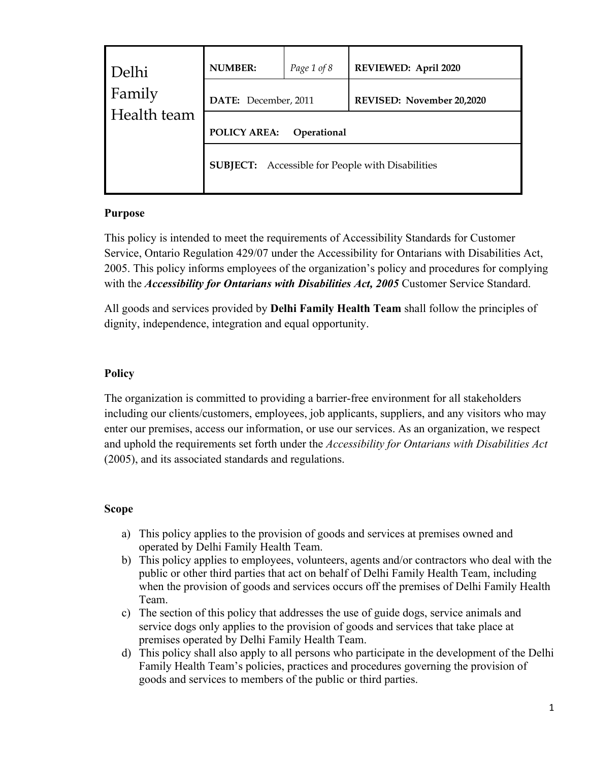| Delhi<br>Family<br>Health team | <b>NUMBER:</b>                                          | Page 1 of 8 | REVIEWED: April 2020      |
|--------------------------------|---------------------------------------------------------|-------------|---------------------------|
|                                | DATE: December, 2011                                    |             | REVISED: November 20,2020 |
|                                | POLICY AREA:<br>Operational                             |             |                           |
|                                | <b>SUBJECT:</b> Accessible for People with Disabilities |             |                           |

## **Purpose**

This policy is intended to meet the requirements of Accessibility Standards for Customer Service, Ontario Regulation 429/07 under the Accessibility for Ontarians with Disabilities Act, 2005. This policy informs employees of the organization's policy and procedures for complying with the *Accessibility for Ontarians with Disabilities Act, 2005* Customer Service Standard.

All goods and services provided by **Delhi Family Health Team** shall follow the principles of dignity, independence, integration and equal opportunity.

# **Policy**

The organization is committed to providing a barrier-free environment for all stakeholders including our clients/customers, employees, job applicants, suppliers, and any visitors who may enter our premises, access our information, or use our services. As an organization, we respect and uphold the requirements set forth under the *Accessibility for Ontarians with Disabilities Act* (2005), and its associated standards and regulations.

# **Scope**

- a) This policy applies to the provision of goods and services at premises owned and operated by Delhi Family Health Team.
- b) This policy applies to employees, volunteers, agents and/or contractors who deal with the public or other third parties that act on behalf of Delhi Family Health Team, including when the provision of goods and services occurs off the premises of Delhi Family Health Team.
- c) The section of this policy that addresses the use of guide dogs, service animals and service dogs only applies to the provision of goods and services that take place at premises operated by Delhi Family Health Team.
- d) This policy shall also apply to all persons who participate in the development of the Delhi Family Health Team's policies, practices and procedures governing the provision of goods and services to members of the public or third parties.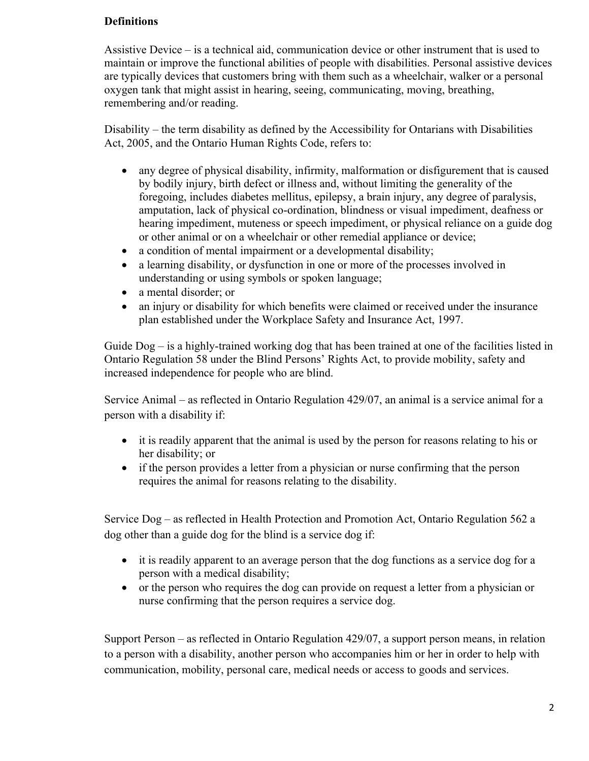### **Definitions**

Assistive Device – is a technical aid, communication device or other instrument that is used to maintain or improve the functional abilities of people with disabilities. Personal assistive devices are typically devices that customers bring with them such as a wheelchair, walker or a personal oxygen tank that might assist in hearing, seeing, communicating, moving, breathing, remembering and/or reading.

Disability – the term disability as defined by the Accessibility for Ontarians with Disabilities Act, 2005, and the Ontario Human Rights Code, refers to:

- any degree of physical disability, infirmity, malformation or disfigurement that is caused by bodily injury, birth defect or illness and, without limiting the generality of the foregoing, includes diabetes mellitus, epilepsy, a brain injury, any degree of paralysis, amputation, lack of physical co-ordination, blindness or visual impediment, deafness or hearing impediment, muteness or speech impediment, or physical reliance on a guide dog or other animal or on a wheelchair or other remedial appliance or device;
- a condition of mental impairment or a developmental disability;
- a learning disability, or dysfunction in one or more of the processes involved in understanding or using symbols or spoken language;
- a mental disorder; or
- an injury or disability for which benefits were claimed or received under the insurance plan established under the Workplace Safety and Insurance Act, 1997.

Guide Dog – is a highly-trained working dog that has been trained at one of the facilities listed in Ontario Regulation 58 under the Blind Persons' Rights Act, to provide mobility, safety and increased independence for people who are blind.

Service Animal – as reflected in Ontario Regulation 429/07, an animal is a service animal for a person with a disability if:

- it is readily apparent that the animal is used by the person for reasons relating to his or her disability; or
- if the person provides a letter from a physician or nurse confirming that the person requires the animal for reasons relating to the disability.

Service Dog – as reflected in Health Protection and Promotion Act, Ontario Regulation 562 a dog other than a guide dog for the blind is a service dog if:

- it is readily apparent to an average person that the dog functions as a service dog for a person with a medical disability;
- or the person who requires the dog can provide on request a letter from a physician or nurse confirming that the person requires a service dog.

Support Person – as reflected in Ontario Regulation 429/07, a support person means, in relation to a person with a disability, another person who accompanies him or her in order to help with communication, mobility, personal care, medical needs or access to goods and services.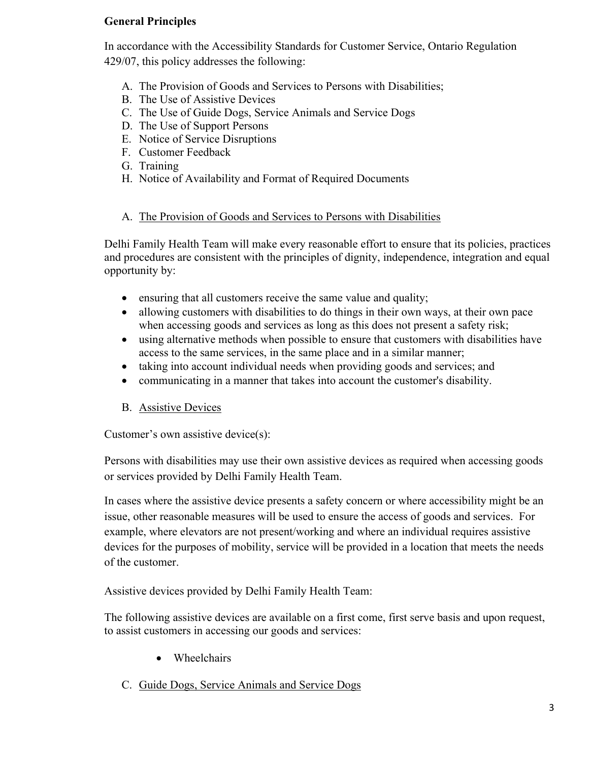## **General Principles**

In accordance with the Accessibility Standards for Customer Service, Ontario Regulation 429/07, this policy addresses the following:

- A. The Provision of Goods and Services to Persons with Disabilities;
- B. The Use of Assistive Devices
- C. The Use of Guide Dogs, Service Animals and Service Dogs
- D. The Use of Support Persons
- E. Notice of Service Disruptions
- F. Customer Feedback
- G. Training
- H. Notice of Availability and Format of Required Documents

## A. The Provision of Goods and Services to Persons with Disabilities

Delhi Family Health Team will make every reasonable effort to ensure that its policies, practices and procedures are consistent with the principles of dignity, independence, integration and equal opportunity by:

- ensuring that all customers receive the same value and quality;
- allowing customers with disabilities to do things in their own ways, at their own pace when accessing goods and services as long as this does not present a safety risk;
- using alternative methods when possible to ensure that customers with disabilities have access to the same services, in the same place and in a similar manner;
- taking into account individual needs when providing goods and services; and
- communicating in a manner that takes into account the customer's disability.
- B. Assistive Devices

Customer's own assistive device(s):

Persons with disabilities may use their own assistive devices as required when accessing goods or services provided by Delhi Family Health Team.

In cases where the assistive device presents a safety concern or where accessibility might be an issue, other reasonable measures will be used to ensure the access of goods and services. For example, where elevators are not present/working and where an individual requires assistive devices for the purposes of mobility, service will be provided in a location that meets the needs of the customer.

Assistive devices provided by Delhi Family Health Team:

The following assistive devices are available on a first come, first serve basis and upon request, to assist customers in accessing our goods and services:

- Wheelchairs
- C. Guide Dogs, Service Animals and Service Dogs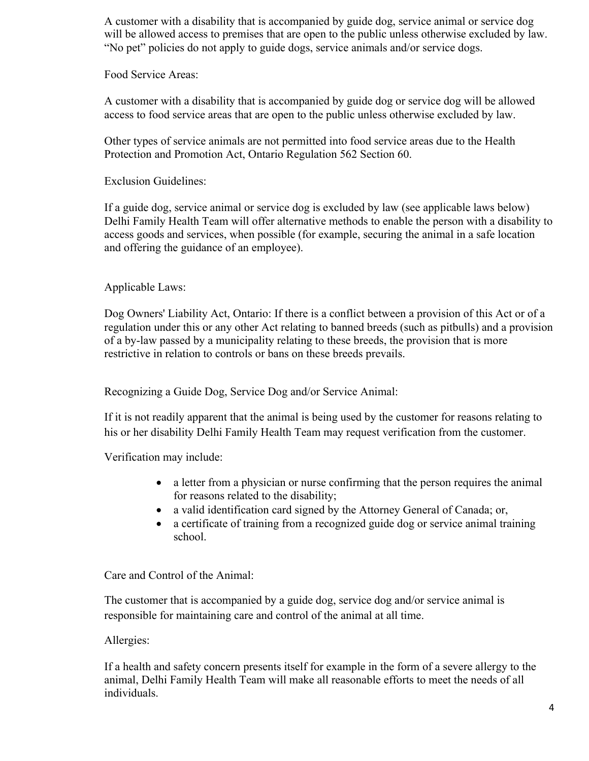A customer with a disability that is accompanied by guide dog, service animal or service dog will be allowed access to premises that are open to the public unless otherwise excluded by law. "No pet" policies do not apply to guide dogs, service animals and/or service dogs.

Food Service Areas:

A customer with a disability that is accompanied by guide dog or service dog will be allowed access to food service areas that are open to the public unless otherwise excluded by law.

Other types of service animals are not permitted into food service areas due to the Health Protection and Promotion Act, Ontario Regulation 562 Section 60.

Exclusion Guidelines:

If a guide dog, service animal or service dog is excluded by law (see applicable laws below) Delhi Family Health Team will offer alternative methods to enable the person with a disability to access goods and services, when possible (for example, securing the animal in a safe location and offering the guidance of an employee).

#### Applicable Laws:

Dog Owners' Liability Act, Ontario: If there is a conflict between a provision of this Act or of a regulation under this or any other Act relating to banned breeds (such as pitbulls) and a provision of a by-law passed by a municipality relating to these breeds, the provision that is more restrictive in relation to controls or bans on these breeds prevails.

Recognizing a Guide Dog, Service Dog and/or Service Animal:

If it is not readily apparent that the animal is being used by the customer for reasons relating to his or her disability Delhi Family Health Team may request verification from the customer.

Verification may include:

- a letter from a physician or nurse confirming that the person requires the animal for reasons related to the disability;
- a valid identification card signed by the Attorney General of Canada; or,
- a certificate of training from a recognized guide dog or service animal training school.

Care and Control of the Animal:

The customer that is accompanied by a guide dog, service dog and/or service animal is responsible for maintaining care and control of the animal at all time.

### Allergies:

If a health and safety concern presents itself for example in the form of a severe allergy to the animal, Delhi Family Health Team will make all reasonable efforts to meet the needs of all individuals.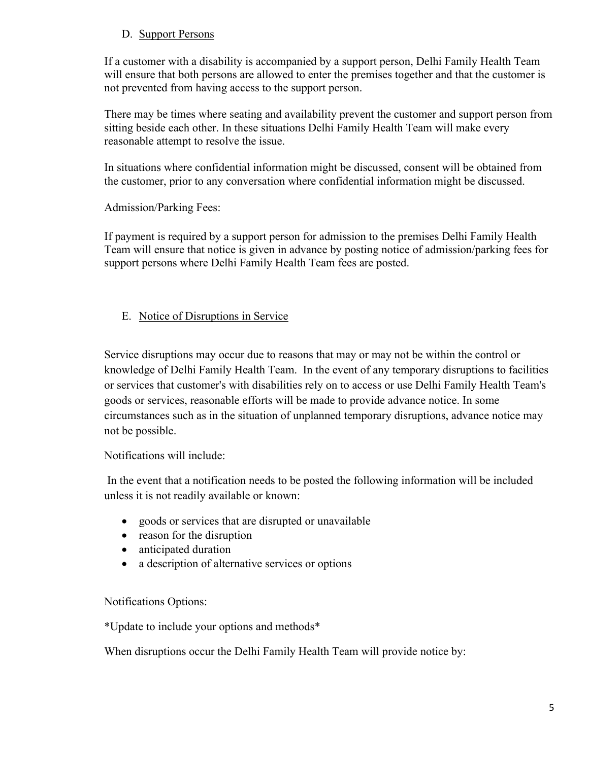### D. Support Persons

If a customer with a disability is accompanied by a support person, Delhi Family Health Team will ensure that both persons are allowed to enter the premises together and that the customer is not prevented from having access to the support person.

There may be times where seating and availability prevent the customer and support person from sitting beside each other. In these situations Delhi Family Health Team will make every reasonable attempt to resolve the issue.

In situations where confidential information might be discussed, consent will be obtained from the customer, prior to any conversation where confidential information might be discussed.

Admission/Parking Fees:

If payment is required by a support person for admission to the premises Delhi Family Health Team will ensure that notice is given in advance by posting notice of admission/parking fees for support persons where Delhi Family Health Team fees are posted.

### E. Notice of Disruptions in Service

Service disruptions may occur due to reasons that may or may not be within the control or knowledge of Delhi Family Health Team. In the event of any temporary disruptions to facilities or services that customer's with disabilities rely on to access or use Delhi Family Health Team's goods or services, reasonable efforts will be made to provide advance notice. In some circumstances such as in the situation of unplanned temporary disruptions, advance notice may not be possible.

Notifications will include:

In the event that a notification needs to be posted the following information will be included unless it is not readily available or known:

- goods or services that are disrupted or unavailable
- reason for the disruption
- anticipated duration
- a description of alternative services or options

### Notifications Options:

\*Update to include your options and methods\*

When disruptions occur the Delhi Family Health Team will provide notice by: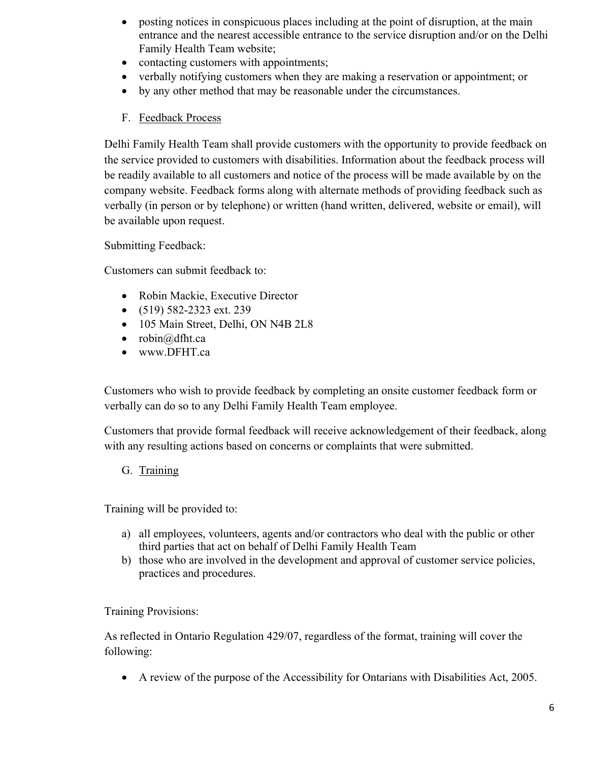- posting notices in conspicuous places including at the point of disruption, at the main entrance and the nearest accessible entrance to the service disruption and/or on the Delhi Family Health Team website;
- contacting customers with appointments;
- verbally notifying customers when they are making a reservation or appointment; or
- by any other method that may be reasonable under the circumstances.
- F. Feedback Process

Delhi Family Health Team shall provide customers with the opportunity to provide feedback on the service provided to customers with disabilities. Information about the feedback process will be readily available to all customers and notice of the process will be made available by on the company website. Feedback forms along with alternate methods of providing feedback such as verbally (in person or by telephone) or written (hand written, delivered, website or email), will be available upon request.

Submitting Feedback:

Customers can submit feedback to:

- Robin Mackie, Executive Director
- (519) 582-2323 ext. 239
- 105 Main Street, Delhi, ON N4B 2L8
- robin $@d$ fht.ca
- www.DFHT.ca

Customers who wish to provide feedback by completing an onsite customer feedback form or verbally can do so to any Delhi Family Health Team employee.

Customers that provide formal feedback will receive acknowledgement of their feedback, along with any resulting actions based on concerns or complaints that were submitted.

G. Training

Training will be provided to:

- a) all employees, volunteers, agents and/or contractors who deal with the public or other third parties that act on behalf of Delhi Family Health Team
- b) those who are involved in the development and approval of customer service policies, practices and procedures.

Training Provisions:

As reflected in Ontario Regulation 429/07, regardless of the format, training will cover the following:

• A review of the purpose of the Accessibility for Ontarians with Disabilities Act, 2005.